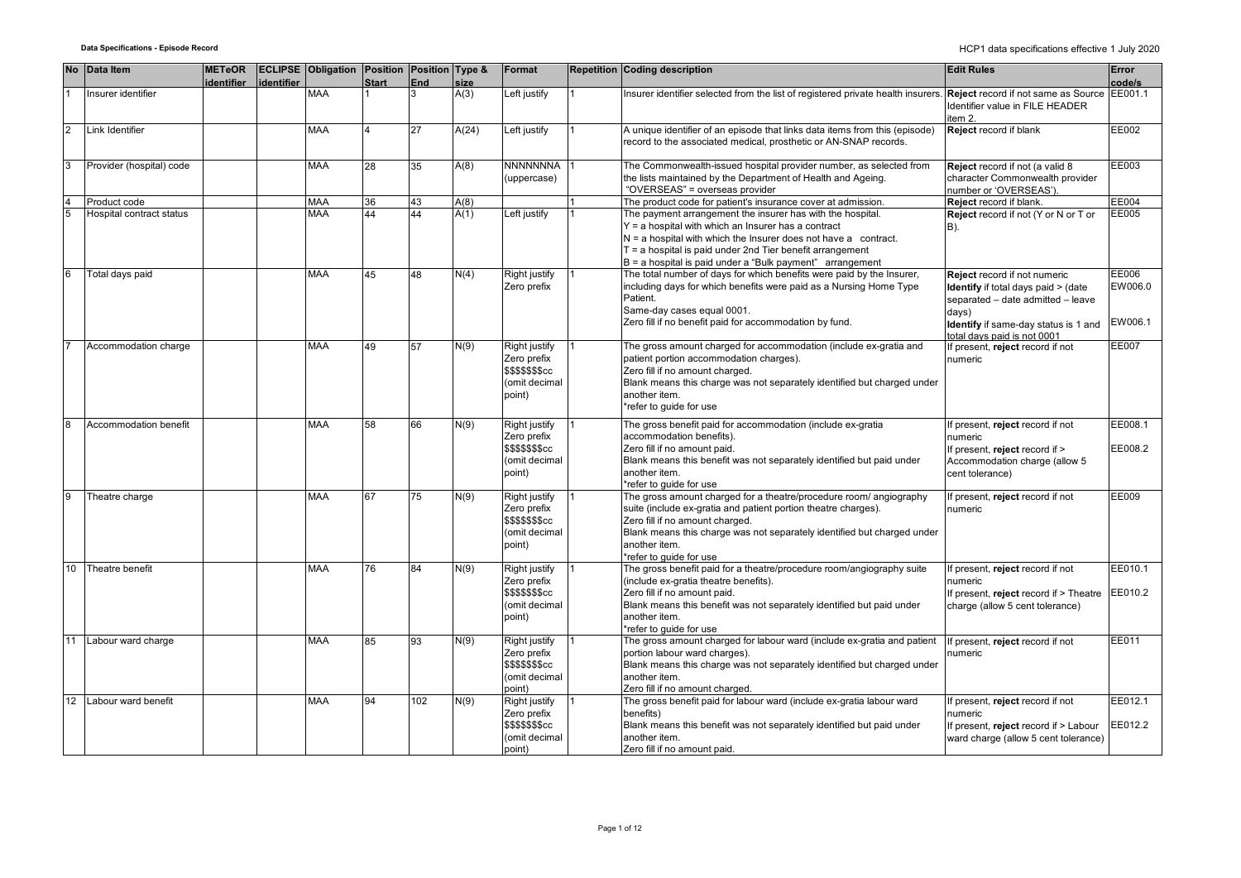| <b>No</b>      | Data Item                | <b>METeOR</b><br>identifier | identifier | <b>ECLIPSE</b> Obligation Position Position Type & | <b>Start</b> | End | size  | Format                                                                             | <b>Repetition Coding description</b>                                                                                                                                                                                                                                                                                   | <b>Edit Rules</b>                                                                                                                                                                       | Error<br>code/s             |
|----------------|--------------------------|-----------------------------|------------|----------------------------------------------------|--------------|-----|-------|------------------------------------------------------------------------------------|------------------------------------------------------------------------------------------------------------------------------------------------------------------------------------------------------------------------------------------------------------------------------------------------------------------------|-----------------------------------------------------------------------------------------------------------------------------------------------------------------------------------------|-----------------------------|
|                | Insurer identifier       |                             |            | <b>MAA</b>                                         |              | 3   | A(3)  | Left justify                                                                       | nsurer identifier selected from the list of registered private health insurers.                                                                                                                                                                                                                                        | Reject record if not same as Source<br>dentifier value in FILE HEADER<br>item 2.                                                                                                        | EE001.1                     |
| $\overline{2}$ | Link Identifier          |                             |            | <b>MAA</b>                                         | 4            | 27  | A(24) | Left justify                                                                       | A unique identifier of an episode that links data items from this (episode)<br>record to the associated medical, prosthetic or AN-SNAP records.                                                                                                                                                                        | Reject record if blank                                                                                                                                                                  | EE002                       |
| 3              | Provider (hospital) code |                             |            | <b>MAA</b>                                         | 28           | 35  | A(8)  | <b>NNNNNNNA</b><br>(uppercase)                                                     | The Commonwealth-issued hospital provider number, as selected from<br>the lists maintained by the Department of Health and Ageing.<br>"OVERSEAS" = overseas provider                                                                                                                                                   | Reject record if not (a valid 8<br>character Commonwealth provider<br>number or 'OVERSEAS').                                                                                            | EE003                       |
| $\overline{4}$ | Product code             |                             |            | <b>MAA</b>                                         | 36           | 43  | A(8)  |                                                                                    | The product code for patient's insurance cover at admission.                                                                                                                                                                                                                                                           | Reject record if blank.                                                                                                                                                                 | EE004                       |
| $\overline{5}$ | Hospital contract status |                             |            | <b>MAA</b>                                         | 44           | 44  | A(1)  | Left justify                                                                       | The payment arrangement the insurer has with the hospital.<br>$Y = a$ hospital with which an Insurer has a contract<br>$N = a$ hospital with which the Insurer does not have a contract.<br>$T = a$ hospital is paid under 2nd Tier benefit arrangement<br>$B = a$ hospital is paid under a "Bulk payment" arrangement | Reject record if not (Y or N or T or<br>B).                                                                                                                                             | EE005                       |
| 6              | Total days paid          |                             |            | <b>MAA</b>                                         | 45           | 48  | N(4)  | Right justify<br>Zero prefix                                                       | The total number of days for which benefits were paid by the Insurer,<br>including days for which benefits were paid as a Nursing Home Type<br>Patient.<br>Same-day cases equal 0001.<br>Zero fill if no benefit paid for accommodation by fund.                                                                       | Reject record if not numeric<br>Identify if total days paid > (date<br>separated - date admitted - leave<br>days)<br>Identify if same-day status is 1 and<br>otal davs paid is not 0001 | EE006<br>EW006.0<br>EW006.1 |
|                | Accommodation charge     |                             |            | <b>MAA</b>                                         | 49           | 57  | N(9)  | Right justify<br>Zero prefix<br><b>\$\$\$\$\$\$\$cc</b><br>(omit decimal<br>point) | The gross amount charged for accommodation (include ex-gratia and<br>patient portion accommodation charges).<br>Zero fill if no amount charged.<br>Blank means this charge was not separately identified but charged under<br>another item.<br>*refer to quide for use                                                 | f present, reject record if not<br>numeric                                                                                                                                              | EE007                       |
| 8              | Accommodation benefit    |                             |            | <b>MAA</b>                                         | 58           | 66  | N(9)  | Right justify<br>Zero prefix<br>\$\$\$\$\$\$\$cc<br>(omit decimal<br>point)        | The gross benefit paid for accommodation (include ex-gratia<br>accommodation benefits).<br>Zero fill if no amount paid.<br>Blank means this benefit was not separately identified but paid under<br>another item.<br>*refer to guide for use                                                                           | f present, reject record if not<br>numeric<br>f present, reject record if ><br>Accommodation charge (allow 5<br>cent tolerance)                                                         | EE008.1<br>EE008.2          |
| 9              | Theatre charge           |                             |            | <b>MAA</b>                                         | 67           | 75  | N(9)  | Right justify<br>Zero prefix<br>\$\$\$\$\$\$\$cc<br>(omit decimal<br>point)        | The gross amount charged for a theatre/procedure room/ angiography<br>suite (include ex-gratia and patient portion theatre charges).<br>Zero fill if no amount charged.<br>Blank means this charge was not separately identified but charged under<br>another item.<br>*refer to quide for use                         | f present, reject record if not<br>numeric                                                                                                                                              | EE009                       |
| 10             | Theatre benefit          |                             |            | <b>MAA</b>                                         | 76           | 84  | N(9)  | <b>Right justify</b><br>Zero prefix<br>\$\$\$\$\$\$\$cc<br>(omit decimal<br>point) | The gross benefit paid for a theatre/procedure room/angiography suite<br>(include ex-gratia theatre benefits).<br>Zero fill if no amount paid.<br>Blank means this benefit was not separately identified but paid under<br>another item.<br>*refer to guide for use                                                    | f present, reject record if not<br>numeric<br>If present, reject record if > Theatre<br>charge (allow 5 cent tolerance)                                                                 | EE010.1<br>EE010.2          |
| 11             | Labour ward charge       |                             |            | <b>MAA</b>                                         | 85           | 93  | N(9)  | <b>Right justify</b><br>Zero prefix<br>\$\$\$\$\$\$\$cc<br>(omit decimal<br>point) | The gross amount charged for labour ward (include ex-gratia and patient<br>portion labour ward charges).<br>Blank means this charge was not separately identified but charged under<br>another item.<br>Zero fill if no amount charged.                                                                                | f present, reject record if not<br>numeric                                                                                                                                              | EE011                       |
| 12             | Labour ward benefit      |                             |            | <b>MAA</b>                                         | 94           | 102 | N(9)  | <b>Right justify</b><br>Zero prefix<br>\$\$\$\$\$\$\$cc<br>(omit decimal<br>point) | The gross benefit paid for labour ward (include ex-gratia labour ward<br>benefits)<br>Blank means this benefit was not separately identified but paid under<br>another item.<br>Zero fill if no amount paid.                                                                                                           | f present, reject record if not<br>numeric<br>f present, reject record if > Labour<br>ward charge (allow 5 cent tolerance)                                                              | EE012.1<br>EE012.2          |